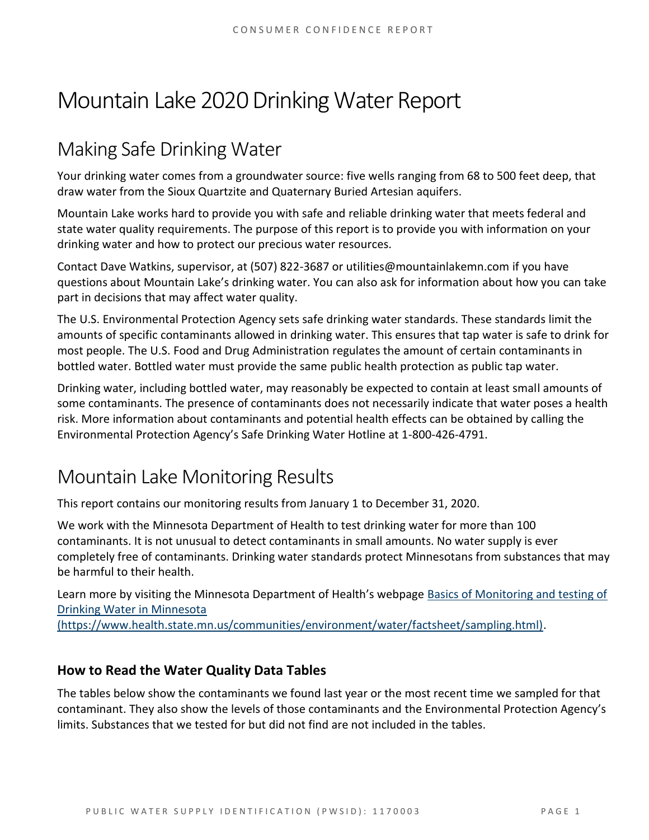# Mountain Lake 2020 Drinking Water Report

## Making Safe Drinking Water

Your drinking water comes from a groundwater source: five wells ranging from 68 to 500 feet deep, that draw water from the Sioux Quartzite and Quaternary Buried Artesian aquifers.

Mountain Lake works hard to provide you with safe and reliable drinking water that meets federal and state water quality requirements. The purpose of this report is to provide you with information on your drinking water and how to protect our precious water resources.

Contact Dave Watkins, supervisor, at (507) 822-3687 or utilities@mountainlakemn.com if you have questions about Mountain Lake's drinking water. You can also ask for information about how you can take part in decisions that may affect water quality.

The U.S. Environmental Protection Agency sets safe drinking water standards. These standards limit the amounts of specific contaminants allowed in drinking water. This ensures that tap water is safe to drink for most people. The U.S. Food and Drug Administration regulates the amount of certain contaminants in bottled water. Bottled water must provide the same public health protection as public tap water.

Drinking water, including bottled water, may reasonably be expected to contain at least small amounts of some contaminants. The presence of contaminants does not necessarily indicate that water poses a health risk. More information about contaminants and potential health effects can be obtained by calling the Environmental Protection Agency's Safe Drinking Water Hotline at 1-800-426-4791.

## Mountain Lake Monitoring Results

This report contains our monitoring results from January 1 to December 31, 2020.

We work with the Minnesota Department of Health to test drinking water for more than 100 contaminants. It is not unusual to detect contaminants in small amounts. No water supply is ever completely free of contaminants. Drinking water standards protect Minnesotans from substances that may be harmful to their health.

Learn more by visiting the Minnesota Department of Health's webpage [Basics of Monitoring and testing of](https://www.health.state.mn.us/communities/environment/water/factsheet/sampling.html)  [Drinking Water in Minnesota](https://www.health.state.mn.us/communities/environment/water/factsheet/sampling.html) 

[\(https://www.health.state.mn.us/communities/environment/water/factsheet/sampling.html\).](https://www.health.state.mn.us/communities/environment/water/factsheet/sampling.html)

## **How to Read the Water Quality Data Tables**

The tables below show the contaminants we found last year or the most recent time we sampled for that contaminant. They also show the levels of those contaminants and the Environmental Protection Agency's limits. Substances that we tested for but did not find are not included in the tables.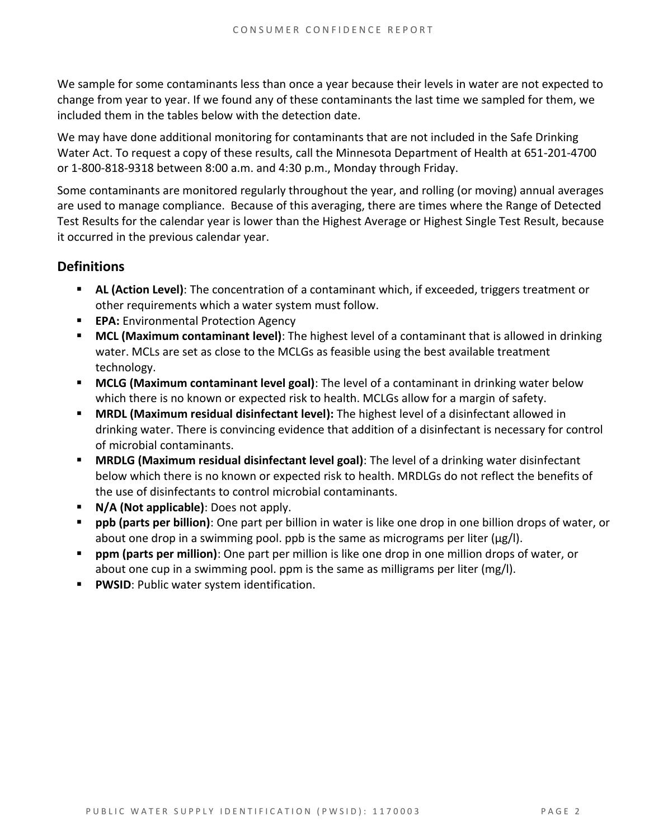We sample for some contaminants less than once a year because their levels in water are not expected to change from year to year. If we found any of these contaminants the last time we sampled for them, we included them in the tables below with the detection date.

We may have done additional monitoring for contaminants that are not included in the Safe Drinking Water Act. To request a copy of these results, call the Minnesota Department of Health at 651-201-4700 or 1-800-818-9318 between 8:00 a.m. and 4:30 p.m., Monday through Friday.

Some contaminants are monitored regularly throughout the year, and rolling (or moving) annual averages are used to manage compliance. Because of this averaging, there are times where the Range of Detected Test Results for the calendar year is lower than the Highest Average or Highest Single Test Result, because it occurred in the previous calendar year.

### **Definitions**

- AL (Action Level): The concentration of a contaminant which, if exceeded, triggers treatment or other requirements which a water system must follow.
- **EPA:** Environmental Protection Agency
- **MCL (Maximum contaminant level)**: The highest level of a contaminant that is allowed in drinking water. MCLs are set as close to the MCLGs as feasible using the best available treatment technology.
- **MCLG (Maximum contaminant level goal)**: The level of a contaminant in drinking water below which there is no known or expected risk to health. MCLGs allow for a margin of safety.
- **MRDL (Maximum residual disinfectant level):** The highest level of a disinfectant allowed in drinking water. There is convincing evidence that addition of a disinfectant is necessary for control of microbial contaminants.
- **MRDLG (Maximum residual disinfectant level goal)**: The level of a drinking water disinfectant below which there is no known or expected risk to health. MRDLGs do not reflect the benefits of the use of disinfectants to control microbial contaminants.
- **N/A (Not applicable)**: Does not apply.
- **ppb (parts per billion)**: One part per billion in water is like one drop in one billion drops of water, or about one drop in a swimming pool. ppb is the same as micrograms per liter ( $\mu$ g/l).
- **ppm (parts per million)**: One part per million is like one drop in one million drops of water, or about one cup in a swimming pool. ppm is the same as milligrams per liter (mg/l).
- **PWSID: Public water system identification.**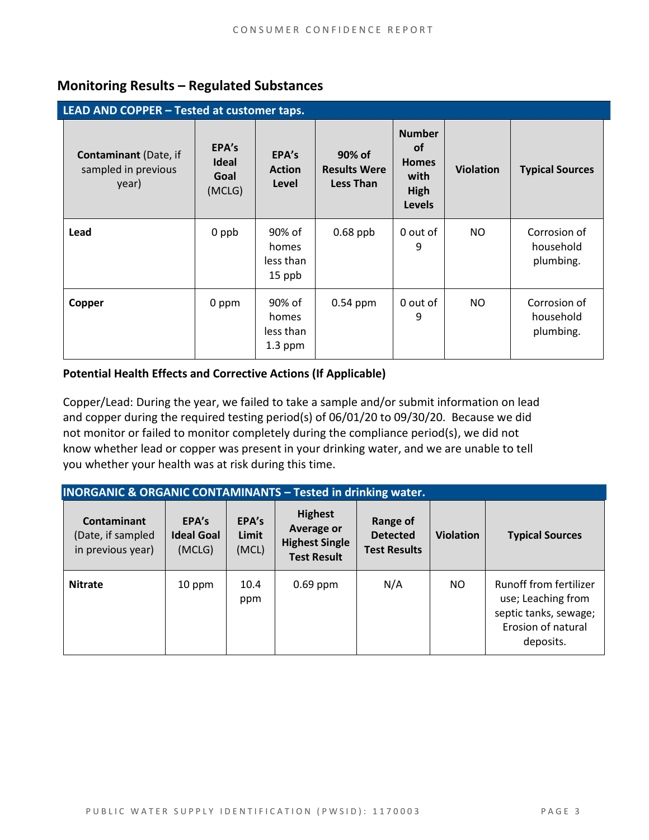## **Monitoring Results – Regulated Substances**

| LEAD AND COPPER - Tested at customer taps.                   |                                  |                                           |                                                   |                                                                                    |                  |                                        |
|--------------------------------------------------------------|----------------------------------|-------------------------------------------|---------------------------------------------------|------------------------------------------------------------------------------------|------------------|----------------------------------------|
| <b>Contaminant</b> (Date, if<br>sampled in previous<br>year) | EPA's<br>Ideal<br>Goal<br>(MCLG) | EPA's<br><b>Action</b><br>Level           | 90% of<br><b>Results Were</b><br><b>Less Than</b> | <b>Number</b><br><b>of</b><br><b>Homes</b><br>with<br><b>High</b><br><b>Levels</b> | <b>Violation</b> | <b>Typical Sources</b>                 |
| Lead                                                         | 0 ppb                            | 90% of<br>homes<br>less than<br>15 ppb    | $0.68$ ppb                                        | 0 out of<br>9                                                                      | NO               | Corrosion of<br>household<br>plumbing. |
| Copper                                                       | 0 ppm                            | 90% of<br>homes<br>less than<br>$1.3$ ppm | $0.54$ ppm                                        | 0 out of<br>9                                                                      | <b>NO</b>        | Corrosion of<br>household<br>plumbing. |

#### **Potential Health Effects and Corrective Actions (If Applicable)**

Copper/Lead: During the year, we failed to take a sample and/or submit information on lead and copper during the required testing period(s) of 06/01/20 to 09/30/20. Because we did not monitor or failed to monitor completely during the compliance period(s), we did not know whether lead or copper was present in your drinking water, and we are unable to tell you whether your health was at risk during this time.

| <b>INORGANIC &amp; ORGANIC CONTAMINANTS - Tested in drinking water.</b> |                                      |                         |                                                                                    |                                                    |                  |                                                                                                          |
|-------------------------------------------------------------------------|--------------------------------------|-------------------------|------------------------------------------------------------------------------------|----------------------------------------------------|------------------|----------------------------------------------------------------------------------------------------------|
| <b>Contaminant</b><br>(Date, if sampled<br>in previous year)            | EPA's<br><b>Ideal Goal</b><br>(MCLG) | EPA's<br>Limit<br>(MCL) | <b>Highest</b><br><b>Average or</b><br><b>Highest Single</b><br><b>Test Result</b> | Range of<br><b>Detected</b><br><b>Test Results</b> | <b>Violation</b> | <b>Typical Sources</b>                                                                                   |
| <b>Nitrate</b>                                                          | 10 ppm                               | 10.4<br>ppm             | $0.69$ ppm                                                                         | N/A                                                | <b>NO</b>        | Runoff from fertilizer<br>use; Leaching from<br>septic tanks, sewage;<br>Erosion of natural<br>deposits. |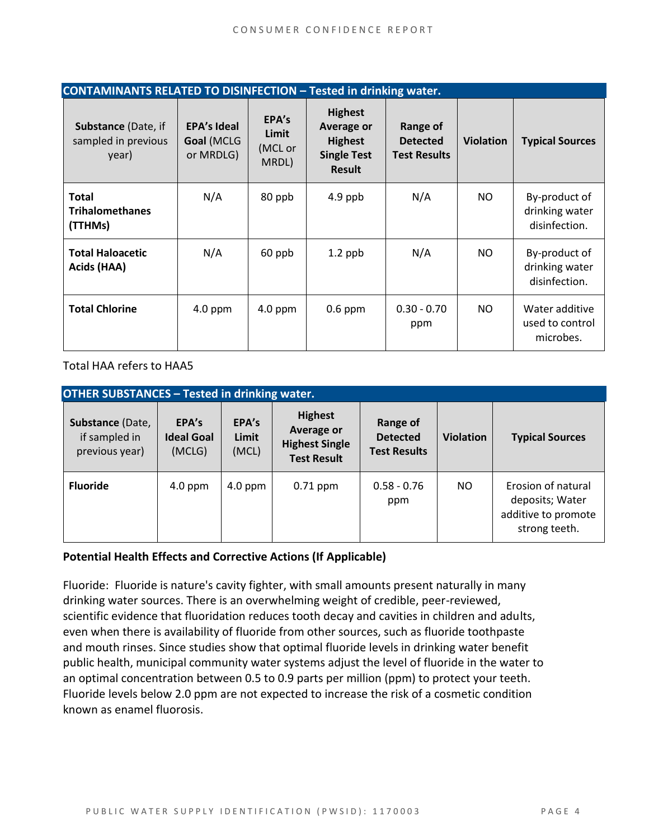| <b>CONTAMINANTS RELATED TO DISINFECTION - Tested in drinking water.</b> |                                               |                                    |                                                                                              |                                                    |                  |                                                  |
|-------------------------------------------------------------------------|-----------------------------------------------|------------------------------------|----------------------------------------------------------------------------------------------|----------------------------------------------------|------------------|--------------------------------------------------|
| Substance (Date, if<br>sampled in previous<br>year)                     | <b>EPA's Ideal</b><br>Goal (MCLG<br>or MRDLG) | EPA's<br>Limit<br>(MCL or<br>MRDL) | <b>Highest</b><br><b>Average or</b><br><b>Highest</b><br><b>Single Test</b><br><b>Result</b> | Range of<br><b>Detected</b><br><b>Test Results</b> | <b>Violation</b> | <b>Typical Sources</b>                           |
| <b>Total</b><br><b>Trihalomethanes</b><br>(TTHMs)                       | N/A                                           | 80 ppb                             | $4.9$ ppb                                                                                    | N/A                                                | NO.              | By-product of<br>drinking water<br>disinfection. |
| <b>Total Haloacetic</b><br>Acids (HAA)                                  | N/A                                           | 60 ppb                             | $1.2$ ppb                                                                                    | N/A                                                | NO.              | By-product of<br>drinking water<br>disinfection. |
| <b>Total Chlorine</b>                                                   | $4.0$ ppm                                     | $4.0$ ppm                          | $0.6$ ppm                                                                                    | $0.30 - 0.70$<br>ppm                               | NO.              | Water additive<br>used to control<br>microbes.   |

Total HAA refers to HAA5

| <b>OTHER SUBSTANCES - Tested in drinking water.</b> |                                      |                         |                                                                                    |                                                    |                  |                                                                               |  |
|-----------------------------------------------------|--------------------------------------|-------------------------|------------------------------------------------------------------------------------|----------------------------------------------------|------------------|-------------------------------------------------------------------------------|--|
| Substance (Date,<br>if sampled in<br>previous year) | EPA's<br><b>Ideal Goal</b><br>(MCLG) | EPA's<br>Limit<br>(MCL) | <b>Highest</b><br><b>Average or</b><br><b>Highest Single</b><br><b>Test Result</b> | Range of<br><b>Detected</b><br><b>Test Results</b> | <b>Violation</b> | <b>Typical Sources</b>                                                        |  |
| <b>Fluoride</b>                                     | $4.0$ ppm                            | $4.0$ ppm               | $0.71$ ppm                                                                         | $0.58 - 0.76$<br>ppm                               | NO.              | Erosion of natural<br>deposits; Water<br>additive to promote<br>strong teeth. |  |

#### **Potential Health Effects and Corrective Actions (If Applicable)**

Fluoride: Fluoride is nature's cavity fighter, with small amounts present naturally in many drinking water sources. There is an overwhelming weight of credible, peer-reviewed, scientific evidence that fluoridation reduces tooth decay and cavities in children and adults, even when there is availability of fluoride from other sources, such as fluoride toothpaste and mouth rinses. Since studies show that optimal fluoride levels in drinking water benefit public health, municipal community water systems adjust the level of fluoride in the water to an optimal concentration between 0.5 to 0.9 parts per million (ppm) to protect your teeth. Fluoride levels below 2.0 ppm are not expected to increase the risk of a cosmetic condition known as enamel fluorosis.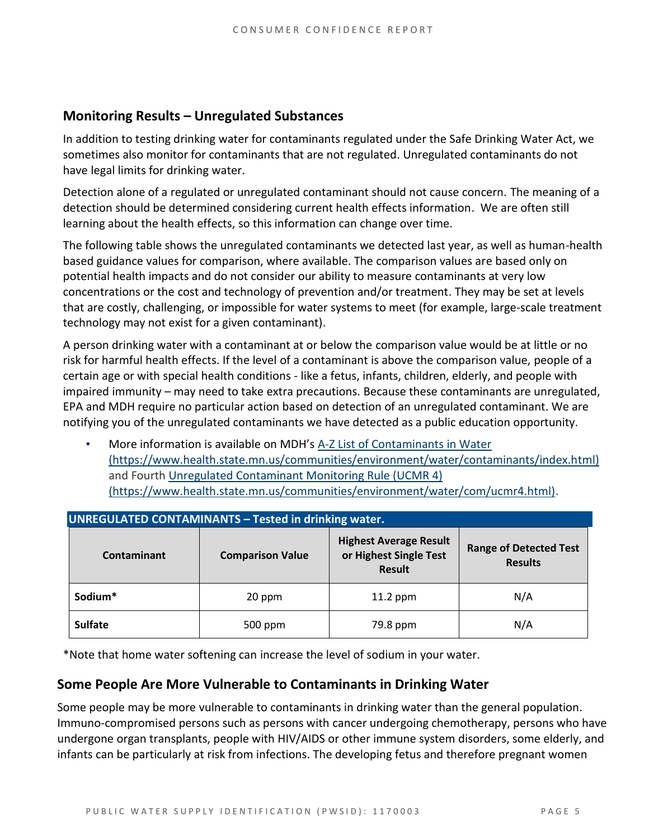### **Monitoring Results – Unregulated Substances**

In addition to testing drinking water for contaminants regulated under the Safe Drinking Water Act, we sometimes also monitor for contaminants that are not regulated. Unregulated contaminants do not have legal limits for drinking water.

Detection alone of a regulated or unregulated contaminant should not cause concern. The meaning of a detection should be determined considering current health effects information. We are often still learning about the health effects, so this information can change over time.

The following table shows the unregulated contaminants we detected last year, as well as human-health based guidance values for comparison, where available. The comparison values are based only on potential health impacts and do not consider our ability to measure contaminants at very low concentrations or the cost and technology of prevention and/or treatment. They may be set at levels that are costly, challenging, or impossible for water systems to meet (for example, large-scale treatment technology may not exist for a given contaminant).

A person drinking water with a contaminant at or below the comparison value would be at little or no risk for harmful health effects. If the level of a contaminant is above the comparison value, people of a certain age or with special health conditions - like a fetus, infants, children, elderly, and people with impaired immunity – may need to take extra precautions. Because these contaminants are unregulated, EPA and MDH require no particular action based on detection of an unregulated contaminant. We are notifying you of the unregulated contaminants we have detected as a public education opportunity.

More information is available on MDH's A-Z List of Contaminants in Water [\(https://www.health.state.mn.us/communities/environment/water/contaminants/index.html\)](https://www.health.state.mn.us/communities/environment/water/contaminants/index.html) and Fourth [Unregulated Contaminant Monitoring Rule \(UCMR 4\)](https://www.health.state.mn.us/communities/environment/water/com/ucmr4.html)  [\(https://www.health.state.mn.us/communities/environment/water/com/ucmr4.html\).](https://www.health.state.mn.us/communities/environment/water/com/ucmr4.html)

| <b>UNREGULATED CONTAMINANTS - Tested in drinking water.</b> |                         |                                                                          |                                                 |  |  |  |  |
|-------------------------------------------------------------|-------------------------|--------------------------------------------------------------------------|-------------------------------------------------|--|--|--|--|
| <b>Contaminant</b>                                          | <b>Comparison Value</b> | <b>Highest Average Result</b><br>or Highest Single Test<br><b>Result</b> | <b>Range of Detected Test</b><br><b>Results</b> |  |  |  |  |
| Sodium*                                                     | 20 ppm                  |                                                                          | N/A                                             |  |  |  |  |
| <b>Sulfate</b>                                              | 500 ppm                 | 79.8 ppm                                                                 | N/A                                             |  |  |  |  |

\*Note that home water softening can increase the level of sodium in your water.

### **Some People Are More Vulnerable to Contaminants in Drinking Water**

Some people may be more vulnerable to contaminants in drinking water than the general population. Immuno-compromised persons such as persons with cancer undergoing chemotherapy, persons who have undergone organ transplants, people with HIV/AIDS or other immune system disorders, some elderly, and infants can be particularly at risk from infections. The developing fetus and therefore pregnant women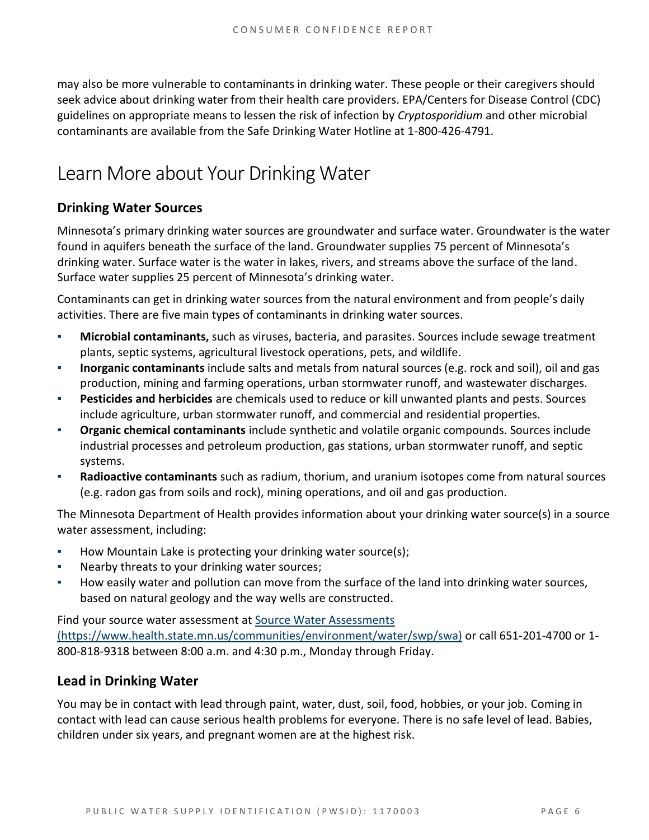may also be more vulnerable to contaminants in drinking water. These people or their caregivers should seek advice about drinking water from their health care providers. EPA/Centers for Disease Control (CDC) guidelines on appropriate means to lessen the risk of infection by *Cryptosporidium* and other microbial contaminants are available from the Safe Drinking Water Hotline at 1-800-426-4791.

## Learn More about Your Drinking Water

## **Drinking Water Sources**

Minnesota's primary drinking water sources are groundwater and surface water. Groundwater is the water found in aquifers beneath the surface of the land. Groundwater supplies 75 percent of Minnesota's drinking water. Surface water is the water in lakes, rivers, and streams above the surface of the land. Surface water supplies 25 percent of Minnesota's drinking water.

Contaminants can get in drinking water sources from the natural environment and from people's daily activities. There are five main types of contaminants in drinking water sources.

- **Microbial contaminants,** such as viruses, bacteria, and parasites. Sources include sewage treatment plants, septic systems, agricultural livestock operations, pets, and wildlife.
- **Inorganic contaminants** include salts and metals from natural sources (e.g. rock and soil), oil and gas production, mining and farming operations, urban stormwater runoff, and wastewater discharges.
- **Pesticides and herbicides** are chemicals used to reduce or kill unwanted plants and pests. Sources include agriculture, urban stormwater runoff, and commercial and residential properties.
- **Organic chemical contaminants** include synthetic and volatile organic compounds. Sources include industrial processes and petroleum production, gas stations, urban stormwater runoff, and septic systems.
- **Radioactive contaminants** such as radium, thorium, and uranium isotopes come from natural sources (e.g. radon gas from soils and rock), mining operations, and oil and gas production.

The Minnesota Department of Health provides information about your drinking water source(s) in a source water assessment, including:

- How Mountain Lake is protecting your drinking water source(s);
- Nearby threats to your drinking water sources;
- How easily water and pollution can move from the surface of the land into drinking water sources, based on natural geology and the way wells are constructed.

Find your source water assessment at [Source Water Assessments](https://www.health.state.mn.us/communities/environment/water/swp/swa)  [\(https://www.health.state.mn.us/communities/environment/water/swp/swa\)](https://www.health.state.mn.us/communities/environment/water/swp/swa) or call 651-201-4700 or 1- 800-818-9318 between 8:00 a.m. and 4:30 p.m., Monday through Friday.

## **Lead in Drinking Water**

You may be in contact with lead through paint, water, dust, soil, food, hobbies, or your job. Coming in contact with lead can cause serious health problems for everyone. There is no safe level of lead. Babies, children under six years, and pregnant women are at the highest risk.